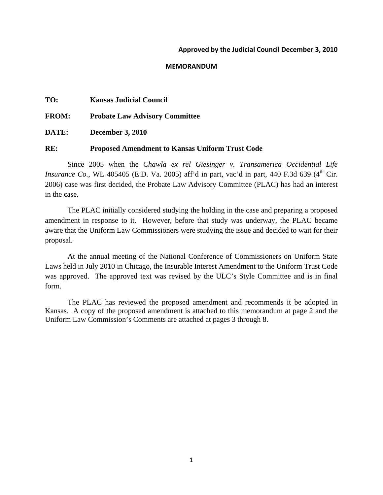### **Approved by the Judicial Council December 3, 2010**

#### **MEMORANDUM**

**TO: Kansas Judicial Council** 

**FROM: Probate Law Advisory Committee** 

**DATE: December 3, 2010** 

# **RE: Proposed Amendment to Kansas Uniform Trust Code**

 Since 2005 when the *Chawla ex rel Giesinger v. Transamerica Occidential Life Insurance Co.*, WL 405405 (E.D. Va. 2005) aff'd in part, vac'd in part, 440 F.3d 639 (4<sup>th</sup> Cir. 2006) case was first decided, the Probate Law Advisory Committee (PLAC) has had an interest in the case.

 The PLAC initially considered studying the holding in the case and preparing a proposed amendment in response to it. However, before that study was underway, the PLAC became aware that the Uniform Law Commissioners were studying the issue and decided to wait for their proposal.

 At the annual meeting of the National Conference of Commissioners on Uniform State Laws held in July 2010 in Chicago, the Insurable Interest Amendment to the Uniform Trust Code was approved. The approved text was revised by the ULC's Style Committee and is in final form.

 The PLAC has reviewed the proposed amendment and recommends it be adopted in Kansas. A copy of the proposed amendment is attached to this memorandum at page 2 and the Uniform Law Commission's Comments are attached at pages 3 through 8.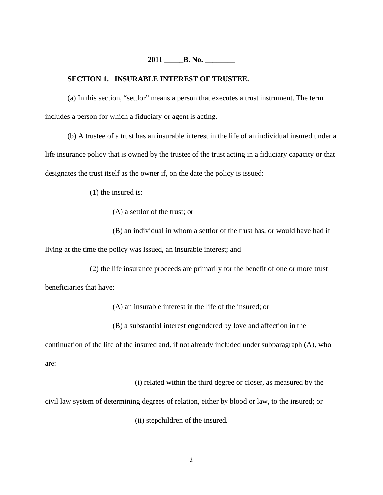## **2011 B. No.**

### **SECTION 1. INSURABLE INTEREST OF TRUSTEE.**

 (a) In this section, "settlor" means a person that executes a trust instrument. The term includes a person for which a fiduciary or agent is acting.

 (b) A trustee of a trust has an insurable interest in the life of an individual insured under a life insurance policy that is owned by the trustee of the trust acting in a fiduciary capacity or that designates the trust itself as the owner if, on the date the policy is issued:

(1) the insured is:

(A) a settlor of the trust; or

(B) an individual in whom a settlor of the trust has, or would have had if

living at the time the policy was issued, an insurable interest; and

 (2) the life insurance proceeds are primarily for the benefit of one or more trust beneficiaries that have:

(A) an insurable interest in the life of the insured; or

(B) a substantial interest engendered by love and affection in the

continuation of the life of the insured and, if not already included under subparagraph (A), who are:

(i) related within the third degree or closer, as measured by the

civil law system of determining degrees of relation, either by blood or law, to the insured; or

(ii) stepchildren of the insured.

2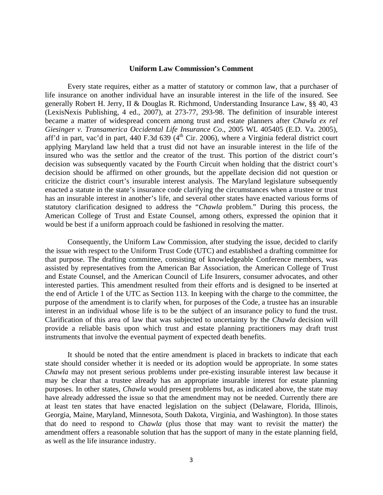#### **Uniform Law Commission's Comment**

 Every state requires, either as a matter of statutory or common law, that a purchaser of life insurance on another individual have an insurable interest in the life of the insured. See generally Robert H. Jerry, II & Douglas R. Richmond, Understanding Insurance Law, §§ 40, 43 (LexisNexis Publishing, 4 ed., 2007), at 273-77, 293-98. The definition of insurable interest became a matter of widespread concern among trust and estate planners after *Chawla ex rel Giesinger v. Transamerica Occidental Life Insurance Co*., 2005 WL 405405 (E.D. Va. 2005), aff'd in part, vac'd in part, 440 F.3d 639 ( $4^{\text{th}}$  Cir. 2006), where a Virginia federal district court applying Maryland law held that a trust did not have an insurable interest in the life of the insured who was the settlor and the creator of the trust. This portion of the district court's decision was subsequently vacated by the Fourth Circuit when holding that the district court's decision should be affirmed on other grounds, but the appellate decision did not question or criticize the district court's insurable interest analysis. The Maryland legislature subsequently enacted a statute in the state's insurance code clarifying the circumstances when a trustee or trust has an insurable interest in another's life, and several other states have enacted various forms of statutory clarification designed to address the "*Chawla* problem." During this process, the American College of Trust and Estate Counsel, among others, expressed the opinion that it would be best if a uniform approach could be fashioned in resolving the matter.

 Consequently, the Uniform Law Commission, after studying the issue, decided to clarify the issue with respect to the Uniform Trust Code (UTC) and established a drafting committee for that purpose. The drafting committee, consisting of knowledgeable Conference members, was assisted by representatives from the American Bar Association, the American College of Trust and Estate Counsel, and the American Council of Life Insurers, consumer advocates, and other interested parties. This amendment resulted from their efforts and is designed to be inserted at the end of Article 1 of the UTC as Section 113. In keeping with the charge to the committee, the purpose of the amendment is to clarify when, for purposes of the Code, a trustee has an insurable interest in an individual whose life is to be the subject of an insurance policy to fund the trust. Clarification of this area of law that was subjected to uncertainty by the *Chawla* decision will provide a reliable basis upon which trust and estate planning practitioners may draft trust instruments that involve the eventual payment of expected death benefits.

 It should be noted that the entire amendment is placed in brackets to indicate that each state should consider whether it is needed or its adoption would be appropriate. In some states *Chawla* may not present serious problems under pre-existing insurable interest law because it may be clear that a trustee already has an appropriate insurable interest for estate planning purposes. In other states, *Chawla* would present problems but, as indicated above, the state may have already addressed the issue so that the amendment may not be needed. Currently there are at least ten states that have enacted legislation on the subject (Delaware, Florida, Illinois, Georgia, Maine, Maryland, Minnesota, South Dakota, Virginia, and Washington). In those states that do need to respond to *Chawla* (plus those that may want to revisit the matter) the amendment offers a reasonable solution that has the support of many in the estate planning field, as well as the life insurance industry.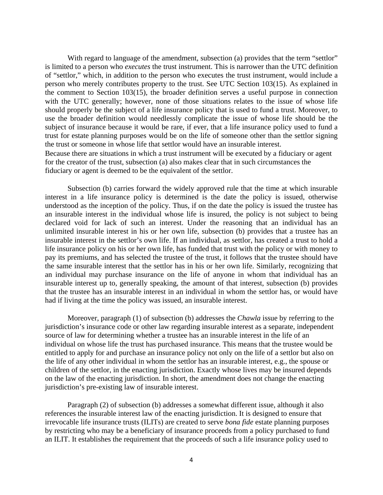With regard to language of the amendment, subsection (a) provides that the term "settlor" is limited to a person who *executes* the trust instrument. This is narrower than the UTC definition of "settlor," which, in addition to the person who executes the trust instrument, would include a person who merely contributes property to the trust. See UTC Section 103(15). As explained in the comment to Section 103(15), the broader definition serves a useful purpose in connection with the UTC generally; however, none of those situations relates to the issue of whose life should properly be the subject of a life insurance policy that is used to fund a trust. Moreover, to use the broader definition would needlessly complicate the issue of whose life should be the subject of insurance because it would be rare, if ever, that a life insurance policy used to fund a trust for estate planning purposes would be on the life of someone other than the settlor signing the trust or someone in whose life that settlor would have an insurable interest. Because there are situations in which a trust instrument will be executed by a fiduciary or agent for the creator of the trust, subsection (a) also makes clear that in such circumstances the

fiduciary or agent is deemed to be the equivalent of the settlor.

 Subsection (b) carries forward the widely approved rule that the time at which insurable interest in a life insurance policy is determined is the date the policy is issued, otherwise understood as the inception of the policy. Thus, if on the date the policy is issued the trustee has an insurable interest in the individual whose life is insured, the policy is not subject to being declared void for lack of such an interest. Under the reasoning that an individual has an unlimited insurable interest in his or her own life, subsection (b) provides that a trustee has an insurable interest in the settlor's own life. If an individual, as settlor, has created a trust to hold a life insurance policy on his or her own life, has funded that trust with the policy or with money to pay its premiums, and has selected the trustee of the trust, it follows that the trustee should have the same insurable interest that the settlor has in his or her own life. Similarly, recognizing that an individual may purchase insurance on the life of anyone in whom that individual has an insurable interest up to, generally speaking, the amount of that interest, subsection (b) provides that the trustee has an insurable interest in an individual in whom the settlor has, or would have had if living at the time the policy was issued, an insurable interest.

 Moreover, paragraph (1) of subsection (b) addresses the *Chawla* issue by referring to the jurisdiction's insurance code or other law regarding insurable interest as a separate, independent source of law for determining whether a trustee has an insurable interest in the life of an individual on whose life the trust has purchased insurance. This means that the trustee would be entitled to apply for and purchase an insurance policy not only on the life of a settlor but also on the life of any other individual in whom the settlor has an insurable interest, e.g., the spouse or children of the settlor, in the enacting jurisdiction. Exactly whose lives may be insured depends on the law of the enacting jurisdiction. In short, the amendment does not change the enacting jurisdiction's pre-existing law of insurable interest.

 Paragraph (2) of subsection (b) addresses a somewhat different issue, although it also references the insurable interest law of the enacting jurisdiction. It is designed to ensure that irrevocable life insurance trusts (ILITs) are created to serve *bona fide* estate planning purposes by restricting who may be a beneficiary of insurance proceeds from a policy purchased to fund an ILIT. It establishes the requirement that the proceeds of such a life insurance policy used to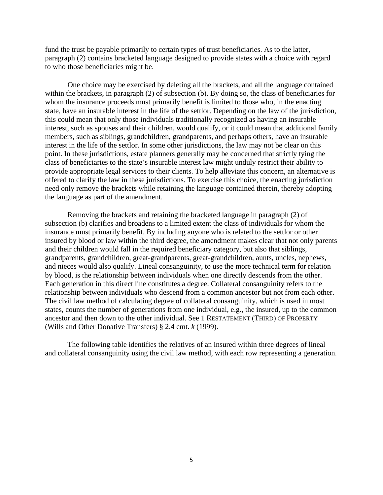fund the trust be payable primarily to certain types of trust beneficiaries. As to the latter, paragraph (2) contains bracketed language designed to provide states with a choice with regard to who those beneficiaries might be.

 One choice may be exercised by deleting all the brackets, and all the language contained within the brackets, in paragraph (2) of subsection (b). By doing so, the class of beneficiaries for whom the insurance proceeds must primarily benefit is limited to those who, in the enacting state, have an insurable interest in the life of the settlor. Depending on the law of the jurisdiction, this could mean that only those individuals traditionally recognized as having an insurable interest, such as spouses and their children, would qualify, or it could mean that additional family members, such as siblings, grandchildren, grandparents, and perhaps others, have an insurable interest in the life of the settlor. In some other jurisdictions, the law may not be clear on this point. In these jurisdictions, estate planners generally may be concerned that strictly tying the class of beneficiaries to the state's insurable interest law might unduly restrict their ability to provide appropriate legal services to their clients. To help alleviate this concern, an alternative is offered to clarify the law in these jurisdictions. To exercise this choice, the enacting jurisdiction need only remove the brackets while retaining the language contained therein, thereby adopting the language as part of the amendment.

 Removing the brackets and retaining the bracketed language in paragraph (2) of subsection (b) clarifies and broadens to a limited extent the class of individuals for whom the insurance must primarily benefit. By including anyone who is related to the settlor or other insured by blood or law within the third degree, the amendment makes clear that not only parents and their children would fall in the required beneficiary category, but also that siblings, grandparents, grandchildren, great-grandparents, great-grandchildren, aunts, uncles, nephews, and nieces would also qualify. Lineal consanguinity, to use the more technical term for relation by blood, is the relationship between individuals when one directly descends from the other. Each generation in this direct line constitutes a degree. Collateral consanguinity refers to the relationship between individuals who descend from a common ancestor but not from each other. The civil law method of calculating degree of collateral consanguinity, which is used in most states, counts the number of generations from one individual, e.g., the insured, up to the common ancestor and then down to the other individual. See 1 RESTATEMENT (THIRD) OF PROPERTY (Wills and Other Donative Transfers) § 2.4 cmt. *k* (1999).

 The following table identifies the relatives of an insured within three degrees of lineal and collateral consanguinity using the civil law method, with each row representing a generation.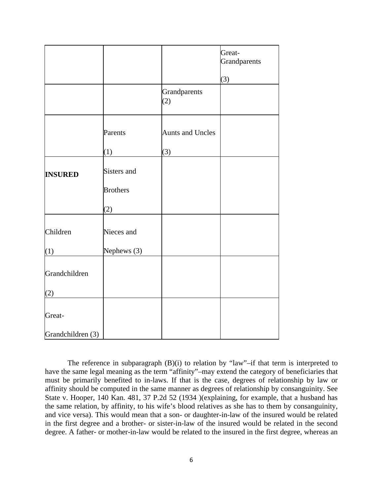|                   |                 |                         | Great-<br>Grandparents |
|-------------------|-----------------|-------------------------|------------------------|
|                   |                 |                         | (3)                    |
|                   |                 | Grandparents<br>(2)     |                        |
|                   | Parents         | <b>Aunts and Uncles</b> |                        |
|                   | (1)             | (3)                     |                        |
| <b>INSURED</b>    | Sisters and     |                         |                        |
|                   | <b>Brothers</b> |                         |                        |
|                   | (2)             |                         |                        |
| Children          | Nieces and      |                         |                        |
| (1)               | Nephews (3)     |                         |                        |
| Grandchildren     |                 |                         |                        |
| (2)               |                 |                         |                        |
| Great-            |                 |                         |                        |
| Grandchildren (3) |                 |                         |                        |

 The reference in subparagraph (B)(i) to relation by "law"–if that term is interpreted to have the same legal meaning as the term "affinity"–may extend the category of beneficiaries that must be primarily benefited to in-laws. If that is the case, degrees of relationship by law or affinity should be computed in the same manner as degrees of relationship by consanguinity. See State v. Hooper, 140 Kan. 481, 37 P.2d 52 (1934 )(explaining, for example, that a husband has the same relation, by affinity, to his wife's blood relatives as she has to them by consanguinity, and vice versa). This would mean that a son- or daughter-in-law of the insured would be related in the first degree and a brother- or sister-in-law of the insured would be related in the second degree. A father- or mother-in-law would be related to the insured in the first degree, whereas an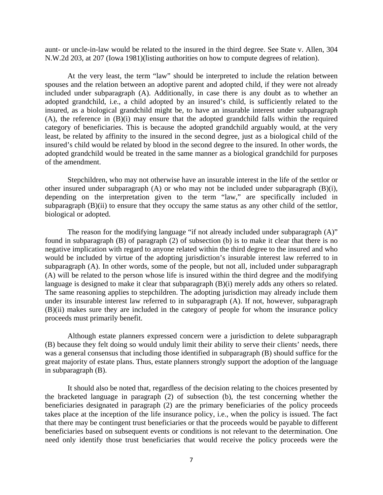aunt- or uncle-in-law would be related to the insured in the third degree. See State v. Allen, 304 N.W.2d 203, at 207 (Iowa 1981)(listing authorities on how to compute degrees of relation).

 At the very least, the term "law" should be interpreted to include the relation between spouses and the relation between an adoptive parent and adopted child, if they were not already included under subparagraph (A). Additionally, in case there is any doubt as to whether an adopted grandchild, i.e., a child adopted by an insured's child, is sufficiently related to the insured, as a biological grandchild might be, to have an insurable interest under subparagraph (A), the reference in (B)(i) may ensure that the adopted grandchild falls within the required category of beneficiaries. This is because the adopted grandchild arguably would, at the very least, be related by affinity to the insured in the second degree, just as a biological child of the insured's child would be related by blood in the second degree to the insured. In other words, the adopted grandchild would be treated in the same manner as a biological grandchild for purposes of the amendment.

 Stepchildren, who may not otherwise have an insurable interest in the life of the settlor or other insured under subparagraph (A) or who may not be included under subparagraph (B)(i), depending on the interpretation given to the term "law," are specifically included in subparagraph (B)(ii) to ensure that they occupy the same status as any other child of the settlor, biological or adopted.

 The reason for the modifying language "if not already included under subparagraph (A)" found in subparagraph (B) of paragraph (2) of subsection (b) is to make it clear that there is no negative implication with regard to anyone related within the third degree to the insured and who would be included by virtue of the adopting jurisdiction's insurable interest law referred to in subparagraph (A). In other words, some of the people, but not all, included under subparagraph (A) will be related to the person whose life is insured within the third degree and the modifying language is designed to make it clear that subparagraph (B)(i) merely adds any others so related. The same reasoning applies to stepchildren. The adopting jurisdiction may already include them under its insurable interest law referred to in subparagraph (A). If not, however, subparagraph (B)(ii) makes sure they are included in the category of people for whom the insurance policy proceeds must primarily benefit.

 Although estate planners expressed concern were a jurisdiction to delete subparagraph (B) because they felt doing so would unduly limit their ability to serve their clients' needs, there was a general consensus that including those identified in subparagraph (B) should suffice for the great majority of estate plans. Thus, estate planners strongly support the adoption of the language in subparagraph (B).

 It should also be noted that, regardless of the decision relating to the choices presented by the bracketed language in paragraph (2) of subsection (b), the test concerning whether the beneficiaries designated in paragraph (2) are the primary beneficiaries of the policy proceeds takes place at the inception of the life insurance policy, i.e., when the policy is issued. The fact that there may be contingent trust beneficiaries or that the proceeds would be payable to different beneficiaries based on subsequent events or conditions is not relevant to the determination. One need only identify those trust beneficiaries that would receive the policy proceeds were the